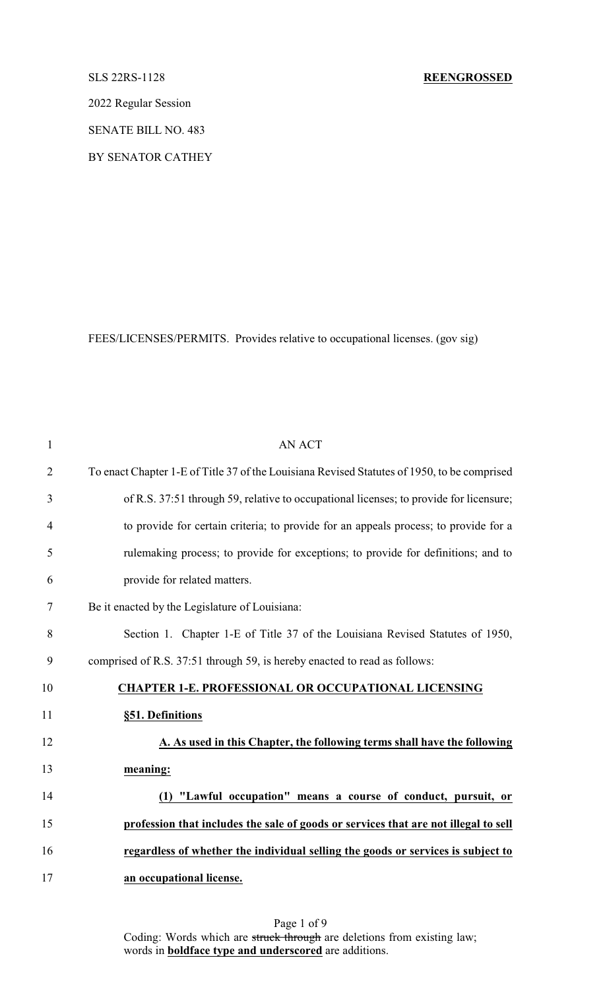2022 Regular Session

SENATE BILL NO. 483

BY SENATOR CATHEY

FEES/LICENSES/PERMITS. Provides relative to occupational licenses. (gov sig)

| $\mathbf{1}$   | <b>AN ACT</b>                                                                               |
|----------------|---------------------------------------------------------------------------------------------|
| $\overline{2}$ | To enact Chapter 1-E of Title 37 of the Louisiana Revised Statutes of 1950, to be comprised |
| 3              | of R.S. 37:51 through 59, relative to occupational licenses; to provide for licensure;      |
| 4              | to provide for certain criteria; to provide for an appeals process; to provide for a        |
| 5              | rulemaking process; to provide for exceptions; to provide for definitions; and to           |
| 6              | provide for related matters.                                                                |
| 7              | Be it enacted by the Legislature of Louisiana:                                              |
| 8              | Section 1. Chapter 1-E of Title 37 of the Louisiana Revised Statutes of 1950,               |
| 9              | comprised of R.S. 37:51 through 59, is hereby enacted to read as follows:                   |
| 10             | <b>CHAPTER 1-E. PROFESSIONAL OR OCCUPATIONAL LICENSING</b>                                  |
| 11             | §51. Definitions                                                                            |
| 12             | A. As used in this Chapter, the following terms shall have the following                    |
| 13             | meaning:                                                                                    |
| 14             | (1) "Lawful occupation" means a course of conduct, pursuit, or                              |
| 15             | profession that includes the sale of goods or services that are not illegal to sell         |
| 16             | regardless of whether the individual selling the goods or services is subject to            |
| 17             | an occupational license.                                                                    |
|                |                                                                                             |

Page 1 of 9 Coding: Words which are struck through are deletions from existing law; words in **boldface type and underscored** are additions.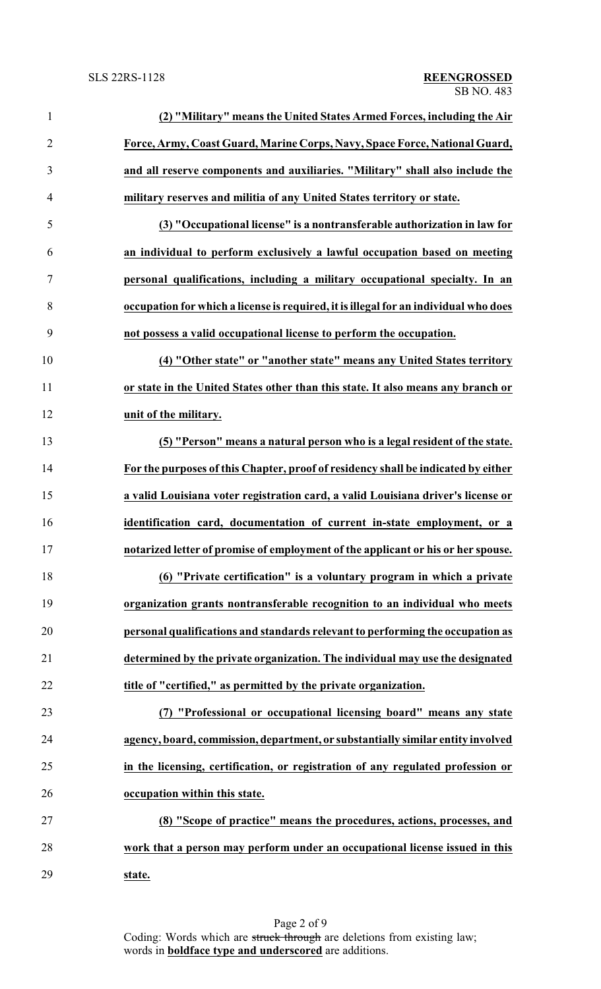| $\mathbf{1}$   | (2) "Military" means the United States Armed Forces, including the Air               |
|----------------|--------------------------------------------------------------------------------------|
| $\overline{2}$ | Force, Army, Coast Guard, Marine Corps, Navy, Space Force, National Guard,           |
| 3              | and all reserve components and auxiliaries. "Military" shall also include the        |
| $\overline{4}$ | military reserves and militia of any United States territory or state.               |
| 5              | (3) "Occupational license" is a nontransferable authorization in law for             |
| 6              | an individual to perform exclusively a lawful occupation based on meeting            |
| $\overline{7}$ | personal qualifications, including a military occupational specialty. In an          |
| 8              | occupation for which a license is required, it is illegal for an individual who does |
| 9              | not possess a valid occupational license to perform the occupation.                  |
| 10             | (4) "Other state" or "another state" means any United States territory               |
| 11             | or state in the United States other than this state. It also means any branch or     |
| 12             | unit of the military.                                                                |
| 13             | (5) "Person" means a natural person who is a legal resident of the state.            |
| 14             | For the purposes of this Chapter, proof of residency shall be indicated by either    |
| 15             | a valid Louisiana voter registration card, a valid Louisiana driver's license or     |
| 16             | identification card, documentation of current in-state employment, or a              |
| 17             | notarized letter of promise of employment of the applicant or his or her spouse.     |
| 18             | (6) "Private certification" is a voluntary program in which a private                |
| 19             | organization grants nontransferable recognition to an individual who meets           |
| 20             | personal qualifications and standards relevant to performing the occupation as       |
| 21             | determined by the private organization. The individual may use the designated        |
| 22             | title of "certified," as permitted by the private organization.                      |
| 23             | (7) "Professional or occupational licensing board" means any state                   |
| 24             | agency, board, commission, department, or substantially similar entity involved      |
| 25             | in the licensing, certification, or registration of any regulated profession or      |
| 26             | occupation within this state.                                                        |
| 27             | (8) "Scope of practice" means the procedures, actions, processes, and                |
| 28             | work that a person may perform under an occupational license issued in this          |
| 29             | state.                                                                               |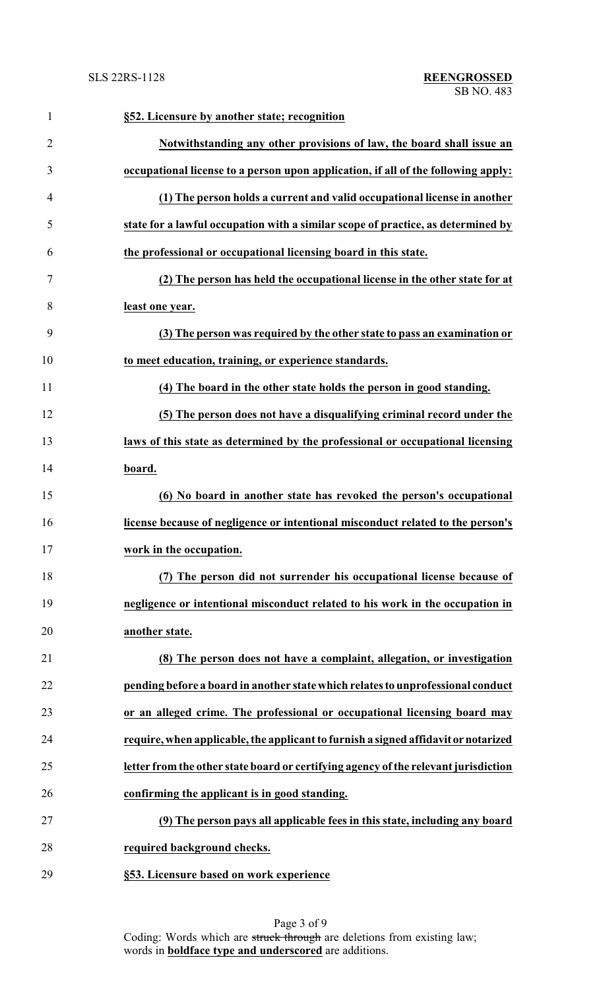| $\mathbf{1}$   | §52. Licensure by another state; recognition                                        |
|----------------|-------------------------------------------------------------------------------------|
| $\overline{2}$ | Notwithstanding any other provisions of law, the board shall issue an               |
| 3              | occupational license to a person upon application, if all of the following apply:   |
| $\overline{4}$ | (1) The person holds a current and valid occupational license in another            |
| 5              | state for a lawful occupation with a similar scope of practice, as determined by    |
| 6              | the professional or occupational licensing board in this state.                     |
| 7              | (2) The person has held the occupational license in the other state for at          |
| 8              | least one year.                                                                     |
| 9              | (3) The person was required by the other state to pass an examination or            |
| 10             | to meet education, training, or experience standards.                               |
| 11             | (4) The board in the other state holds the person in good standing.                 |
| 12             | (5) The person does not have a disqualifying criminal record under the              |
| 13             | laws of this state as determined by the professional or occupational licensing      |
| 14             | board.                                                                              |
| 15             | (6) No board in another state has revoked the person's occupational                 |
| 16             | license because of negligence or intentional misconduct related to the person's     |
| 17             | work in the occupation.                                                             |
| 18             | (7) The person did not surrender his occupational license because of                |
| 19             | negligence or intentional misconduct related to his work in the occupation in       |
| 20             | another state.                                                                      |
| 21             | (8) The person does not have a complaint, allegation, or investigation              |
| 22             | pending before a board in another state which relates to unprofessional conduct     |
| 23             | or an alleged crime. The professional or occupational licensing board may           |
| 24             | require, when applicable, the applicant to furnish a signed affidavit or notarized  |
| 25             | letter from the other state board or certifying agency of the relevant jurisdiction |
| 26             | confirming the applicant is in good standing.                                       |
| 27             | (9) The person pays all applicable fees in this state, including any board          |
| 28             | required background checks.                                                         |
| 29             | §53. Licensure based on work experience                                             |

Page 3 of 9 Coding: Words which are struck through are deletions from existing law; words in **boldface type and underscored** are additions.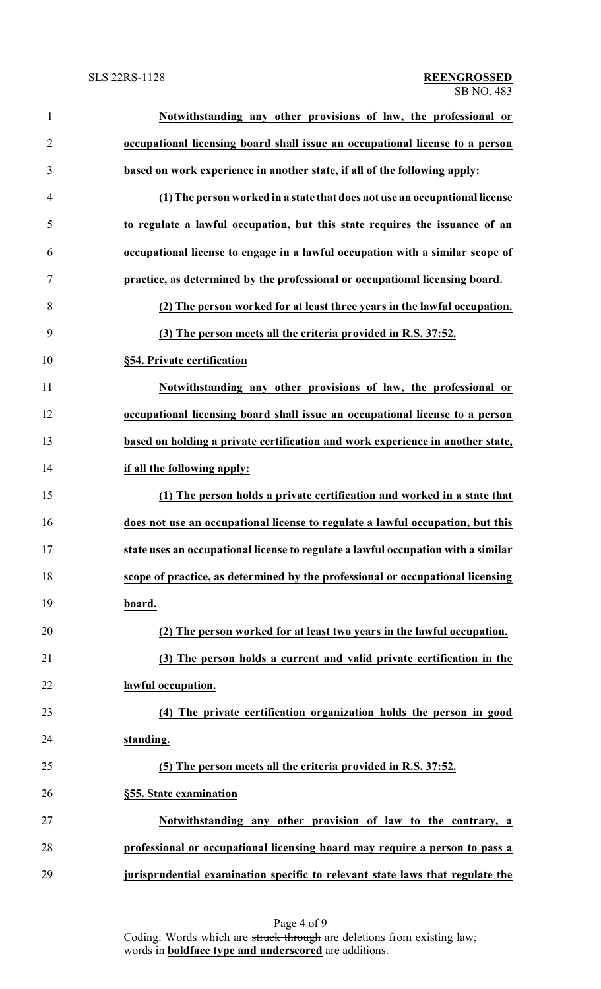| $\mathbf{1}$   | Notwithstanding any other provisions of law, the professional or                  |
|----------------|-----------------------------------------------------------------------------------|
| $\overline{2}$ | occupational licensing board shall issue an occupational license to a person      |
| 3              | based on work experience in another state, if all of the following apply:         |
| $\overline{4}$ | (1) The person worked in a state that does not use an occupational license        |
| 5              | to regulate a lawful occupation, but this state requires the issuance of an       |
| 6              | occupational license to engage in a lawful occupation with a similar scope of     |
| 7              | practice, as determined by the professional or occupational licensing board.      |
| 8              | (2) The person worked for at least three years in the lawful occupation.          |
| 9              | (3) The person meets all the criteria provided in R.S. 37:52.                     |
| 10             | §54. Private certification                                                        |
| 11             | Notwithstanding any other provisions of law, the professional or                  |
| 12             | occupational licensing board shall issue an occupational license to a person      |
| 13             | based on holding a private certification and work experience in another state,    |
| 14             | if all the following apply:                                                       |
| 15             | (1) The person holds a private certification and worked in a state that           |
| 16             | does not use an occupational license to regulate a lawful occupation, but this    |
| 17             | state uses an occupational license to regulate a lawful occupation with a similar |
| 18             | scope of practice, as determined by the professional or occupational licensing    |
| 19             | board.                                                                            |
| 20             | (2) The person worked for at least two years in the lawful occupation.            |
| 21             | (3) The person holds a current and valid private certification in the             |
| 22             | lawful occupation.                                                                |
| 23             | (4) The private certification organization holds the person in good               |
| 24             | standing.                                                                         |
| 25             | (5) The person meets all the criteria provided in R.S. 37:52.                     |
| 26             | §55. State examination                                                            |
| 27             | Notwithstanding any other provision of law to the contrary, a                     |
| 28             | professional or occupational licensing board may require a person to pass a       |
| 29             | jurisprudential examination specific to relevant state laws that regulate the     |

Page 4 of 9 Coding: Words which are struck through are deletions from existing law; words in **boldface type and underscored** are additions.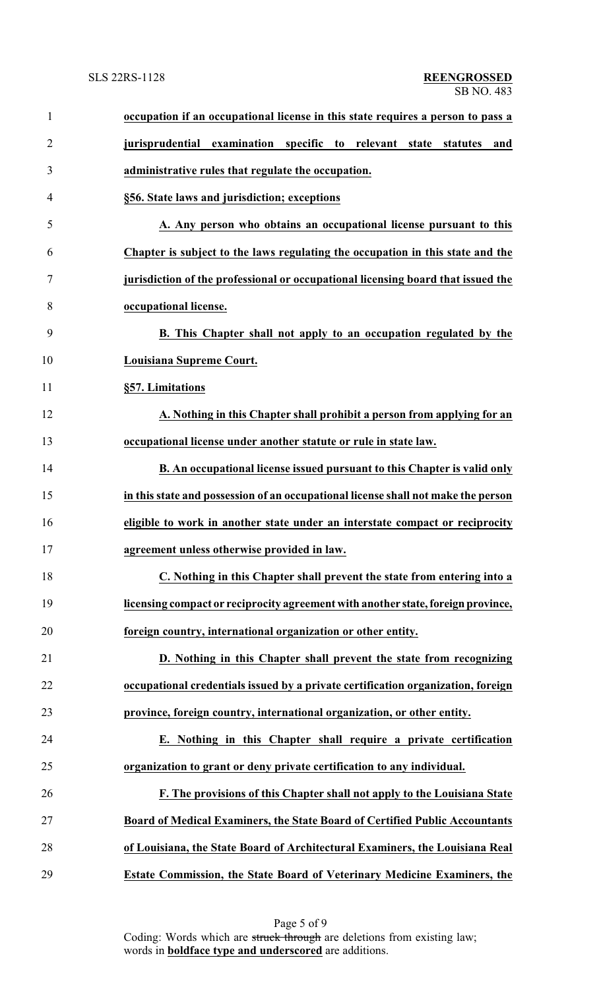| $\mathbf{1}$   | occupation if an occupational license in this state requires a person to pass a   |
|----------------|-----------------------------------------------------------------------------------|
| $\overline{2}$ | examination specific to relevant<br>jurisprudential<br>state<br>statutes<br>and   |
| 3              | administrative rules that regulate the occupation.                                |
| 4              | §56. State laws and jurisdiction; exceptions                                      |
| 5              | A. Any person who obtains an occupational license pursuant to this                |
| 6              | Chapter is subject to the laws regulating the occupation in this state and the    |
| 7              | jurisdiction of the professional or occupational licensing board that issued the  |
| 8              | occupational license.                                                             |
| 9              | B. This Chapter shall not apply to an occupation regulated by the                 |
| 10             | Louisiana Supreme Court.                                                          |
| 11             | §57. Limitations                                                                  |
| 12             | A. Nothing in this Chapter shall prohibit a person from applying for an           |
| 13             | occupational license under another statute or rule in state law.                  |
| 14             | B. An occupational license issued pursuant to this Chapter is valid only          |
| 15             | in this state and possession of an occupational license shall not make the person |
| 16             | eligible to work in another state under an interstate compact or reciprocity      |
| 17             | agreement unless otherwise provided in law.                                       |
| 18             | C. Nothing in this Chapter shall prevent the state from entering into a           |
| 19             | licensing compact or reciprocity agreement with another state, foreign province,  |
| 20             | foreign country, international organization or other entity.                      |
| 21             | D. Nothing in this Chapter shall prevent the state from recognizing               |
| 22             | occupational credentials issued by a private certification organization, foreign  |
| 23             | province, foreign country, international organization, or other entity.           |
| 24             | E. Nothing in this Chapter shall require a private certification                  |
| 25             | organization to grant or deny private certification to any individual.            |
| 26             | F. The provisions of this Chapter shall not apply to the Louisiana State          |
| 27             | Board of Medical Examiners, the State Board of Certified Public Accountants       |
| 28             | of Louisiana, the State Board of Architectural Examiners, the Louisiana Real      |
| 29             | Estate Commission, the State Board of Veterinary Medicine Examiners, the          |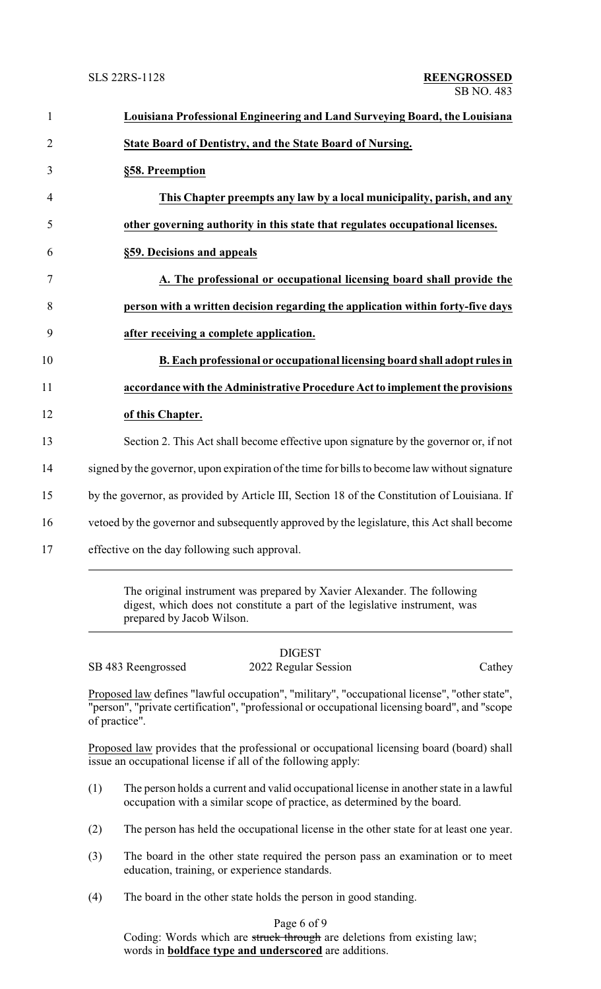| $\mathbf{1}$   | Louisiana Professional Engineering and Land Surveying Board, the Louisiana                    |
|----------------|-----------------------------------------------------------------------------------------------|
| $\overline{2}$ | State Board of Dentistry, and the State Board of Nursing.                                     |
| 3              | §58. Preemption                                                                               |
| $\overline{4}$ | This Chapter preempts any law by a local municipality, parish, and any                        |
| 5              | other governing authority in this state that regulates occupational licenses.                 |
| 6              | §59. Decisions and appeals                                                                    |
| 7              | A. The professional or occupational licensing board shall provide the                         |
| 8              | person with a written decision regarding the application within forty-five days               |
| 9              | after receiving a complete application.                                                       |
| 10             | B. Each professional or occupational licensing board shall adopt rules in                     |
| 11             | accordance with the Administrative Procedure Act to implement the provisions                  |
| 12             | of this Chapter.                                                                              |
| 13             | Section 2. This Act shall become effective upon signature by the governor or, if not          |
| 14             | signed by the governor, upon expiration of the time for bills to become law without signature |
| 15             | by the governor, as provided by Article III, Section 18 of the Constitution of Louisiana. If  |
| 16             | vetoed by the governor and subsequently approved by the legislature, this Act shall become    |
| 17             | effective on the day following such approval.                                                 |
|                |                                                                                               |

The original instrument was prepared by Xavier Alexander. The following digest, which does not constitute a part of the legislative instrument, was prepared by Jacob Wilson.

DIGEST SB 483 Reengrossed 2022 Regular Session Cathey

Proposed law defines "lawful occupation", "military", "occupational license", "other state", "person", "private certification", "professional or occupational licensing board", and "scope of practice".

Proposed law provides that the professional or occupational licensing board (board) shall issue an occupational license if all of the following apply:

- (1) The person holds a current and valid occupational license in another state in a lawful occupation with a similar scope of practice, as determined by the board.
- (2) The person has held the occupational license in the other state for at least one year.
- (3) The board in the other state required the person pass an examination or to meet education, training, or experience standards.
- (4) The board in the other state holds the person in good standing.

## Page 6 of 9

Coding: Words which are struck through are deletions from existing law; words in **boldface type and underscored** are additions.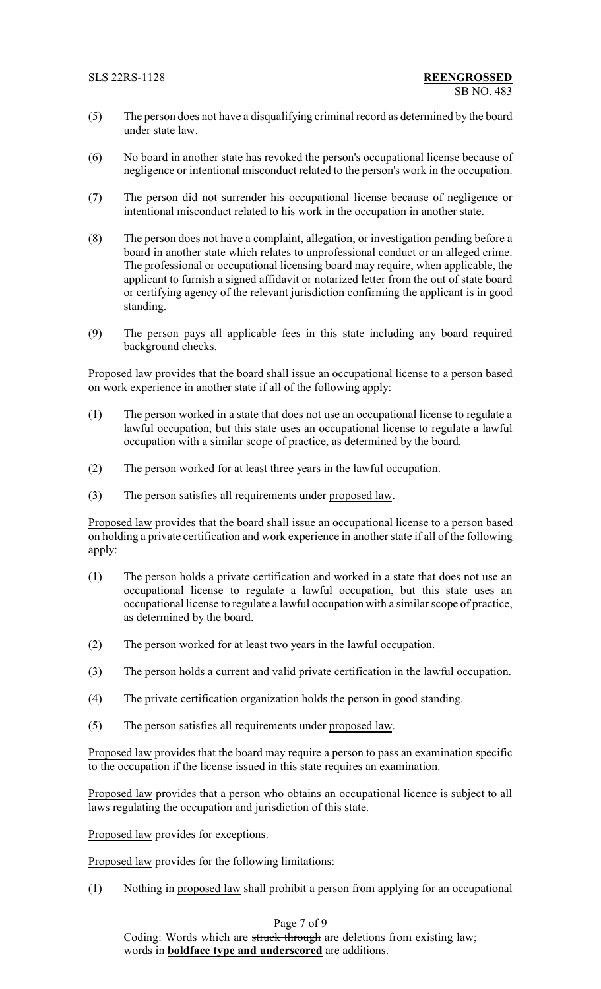- (5) The person does not have a disqualifying criminal record as determined by the board under state law.
- (6) No board in another state has revoked the person's occupational license because of negligence or intentional misconduct related to the person's work in the occupation.
- (7) The person did not surrender his occupational license because of negligence or intentional misconduct related to his work in the occupation in another state.
- (8) The person does not have a complaint, allegation, or investigation pending before a board in another state which relates to unprofessional conduct or an alleged crime. The professional or occupational licensing board may require, when applicable, the applicant to furnish a signed affidavit or notarized letter from the out of state board or certifying agency of the relevant jurisdiction confirming the applicant is in good standing.
- (9) The person pays all applicable fees in this state including any board required background checks.

Proposed law provides that the board shall issue an occupational license to a person based on work experience in another state if all of the following apply:

- (1) The person worked in a state that does not use an occupational license to regulate a lawful occupation, but this state uses an occupational license to regulate a lawful occupation with a similar scope of practice, as determined by the board.
- (2) The person worked for at least three years in the lawful occupation.
- (3) The person satisfies all requirements under proposed law.

Proposed law provides that the board shall issue an occupational license to a person based on holding a private certification and work experience in another state if all of the following apply:

- (1) The person holds a private certification and worked in a state that does not use an occupational license to regulate a lawful occupation, but this state uses an occupational license to regulate a lawful occupation with a similar scope of practice, as determined by the board.
- (2) The person worked for at least two years in the lawful occupation.
- (3) The person holds a current and valid private certification in the lawful occupation.
- (4) The private certification organization holds the person in good standing.
- (5) The person satisfies all requirements under proposed law.

Proposed law provides that the board may require a person to pass an examination specific to the occupation if the license issued in this state requires an examination.

Proposed law provides that a person who obtains an occupational licence is subject to all laws regulating the occupation and jurisdiction of this state.

Proposed law provides for exceptions.

Proposed law provides for the following limitations:

(1) Nothing in proposed law shall prohibit a person from applying for an occupational

Page 7 of 9

Coding: Words which are struck through are deletions from existing law; words in **boldface type and underscored** are additions.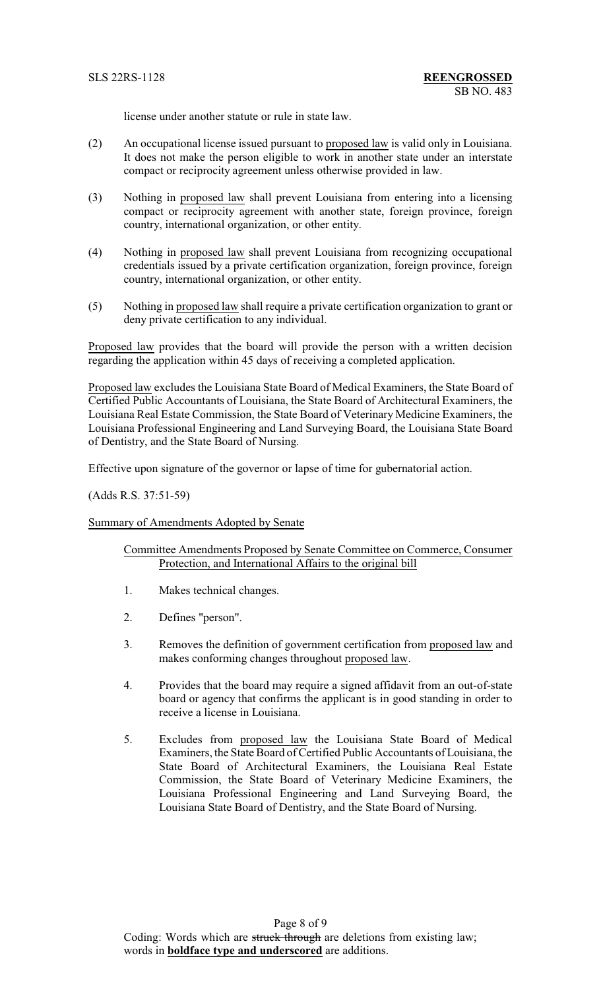license under another statute or rule in state law.

- (2) An occupational license issued pursuant to proposed law is valid only in Louisiana. It does not make the person eligible to work in another state under an interstate compact or reciprocity agreement unless otherwise provided in law.
- (3) Nothing in proposed law shall prevent Louisiana from entering into a licensing compact or reciprocity agreement with another state, foreign province, foreign country, international organization, or other entity.
- (4) Nothing in proposed law shall prevent Louisiana from recognizing occupational credentials issued by a private certification organization, foreign province, foreign country, international organization, or other entity.
- (5) Nothing in proposed law shall require a private certification organization to grant or deny private certification to any individual.

Proposed law provides that the board will provide the person with a written decision regarding the application within 45 days of receiving a completed application.

Proposed law excludes the Louisiana State Board of Medical Examiners, the State Board of Certified Public Accountants of Louisiana, the State Board of Architectural Examiners, the Louisiana Real Estate Commission, the State Board of Veterinary Medicine Examiners, the Louisiana Professional Engineering and Land Surveying Board, the Louisiana State Board of Dentistry, and the State Board of Nursing.

Effective upon signature of the governor or lapse of time for gubernatorial action.

(Adds R.S. 37:51-59)

Summary of Amendments Adopted by Senate

Committee Amendments Proposed by Senate Committee on Commerce, Consumer Protection, and International Affairs to the original bill

- 1. Makes technical changes.
- 2. Defines "person".
- 3. Removes the definition of government certification from proposed law and makes conforming changes throughout proposed law.
- 4. Provides that the board may require a signed affidavit from an out-of-state board or agency that confirms the applicant is in good standing in order to receive a license in Louisiana.
- 5. Excludes from proposed law the Louisiana State Board of Medical Examiners, the State Board of Certified Public Accountants of Louisiana, the State Board of Architectural Examiners, the Louisiana Real Estate Commission, the State Board of Veterinary Medicine Examiners, the Louisiana Professional Engineering and Land Surveying Board, the Louisiana State Board of Dentistry, and the State Board of Nursing.